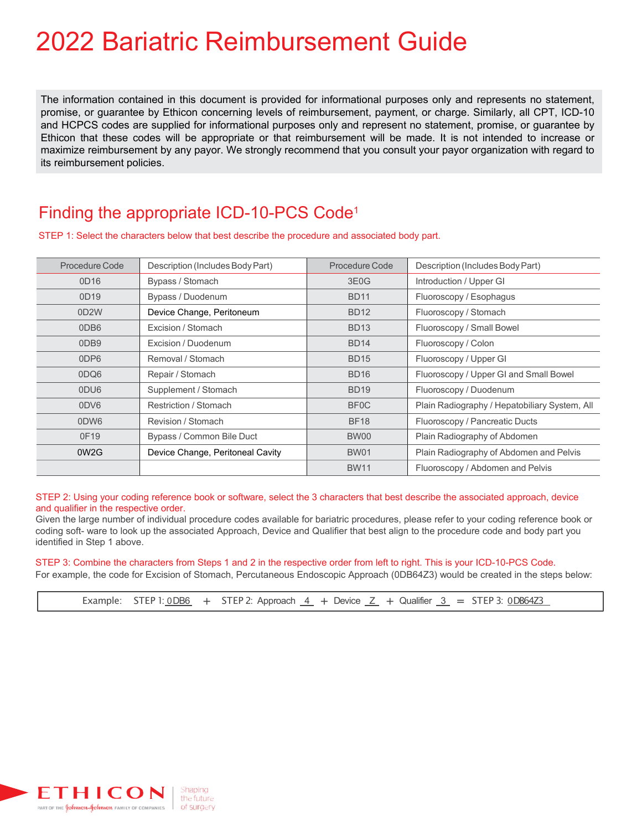# 2022 Bariatric Reimbursement Guide

The information contained in this document is provided for informational purposes only and represents no statement, promise, or guarantee by Ethicon concerning levels of reimbursement, payment, or charge. Similarly, all CPT, ICD-10 and HCPCS codes are supplied for informational purposes only and represent no statement, promise, or guarantee by Ethicon that these codes will be appropriate or that reimbursement will be made. It is not intended to increase or maximize reimbursement by any payor. We strongly recommend that you consult your payor organization with regard to its reimbursement policies.

### Finding the appropriate ICD-10-PCS Code1

STEP 1: Select the characters below that best describe the procedure and associated body part.

| Procedure Code    | Description (Includes Body Part) | Procedure Code    | Description (Includes Body Part)              |
|-------------------|----------------------------------|-------------------|-----------------------------------------------|
| OD16              | Bypass / Stomach                 | 3E <sub>0</sub> G | Introduction / Upper GI                       |
| 0D19              | Bypass / Duodenum                | <b>BD11</b>       | Fluoroscopy / Esophagus                       |
| 0D <sub>2</sub> W | Device Change, Peritoneum        | <b>BD12</b>       | Fluoroscopy / Stomach                         |
| 0DB <sub>6</sub>  | Excision / Stomach               | <b>BD13</b>       | Fluoroscopy / Small Bowel                     |
| 0DB <sub>9</sub>  | <b>Excision / Duodenum</b>       | <b>BD14</b>       | Fluoroscopy / Colon                           |
| 0DP6              | Removal / Stomach                | <b>BD15</b>       | Fluoroscopy / Upper GI                        |
| 0DQ6              | Repair / Stomach                 | <b>BD16</b>       | Fluoroscopy / Upper GI and Small Bowel        |
| 0DU6              | Supplement / Stomach             | <b>BD19</b>       | Fluoroscopy / Duodenum                        |
| 0DV6              | Restriction / Stomach            | BF <sub>0</sub> C | Plain Radiography / Hepatobiliary System, All |
| 0DW6              | Revision / Stomach               | <b>BF18</b>       | Fluoroscopy / Pancreatic Ducts                |
| 0F19              | Bypass / Common Bile Duct        | BW00              | Plain Radiography of Abdomen                  |
| 0W <sub>2</sub> G | Device Change, Peritoneal Cavity | <b>BW01</b>       | Plain Radiography of Abdomen and Pelvis       |
|                   |                                  | <b>BW11</b>       | Fluoroscopy / Abdomen and Pelvis              |

STEP 2: Using your coding reference book or software, select the 3 characters that best describe the associated approach, device and qualifier in the respective order.

Given the large number of individual procedure codes available for bariatric procedures, please refer to your coding reference book or coding soft- ware to look up the associated Approach, Device and Qualifier that best align to the procedure code and body part you identified in Step 1 above.

#### STEP 3: Combine the characters from Steps 1 and 2 in the respective order from left to right. This is your ICD-10-PCS Code.

For example, the code for Excision of Stomach, Percutaneous Endoscopic Approach (0DB64Z3) would be created in the steps below:

Example: STEP 1:  $\overline{OB6}$  + STEP 2: Approach  $\overline{4}$  + Device  $\overline{Z}$  + Qualifier  $\overline{3}$  = STEP 3:  $\overline{OB64Z3}$ 

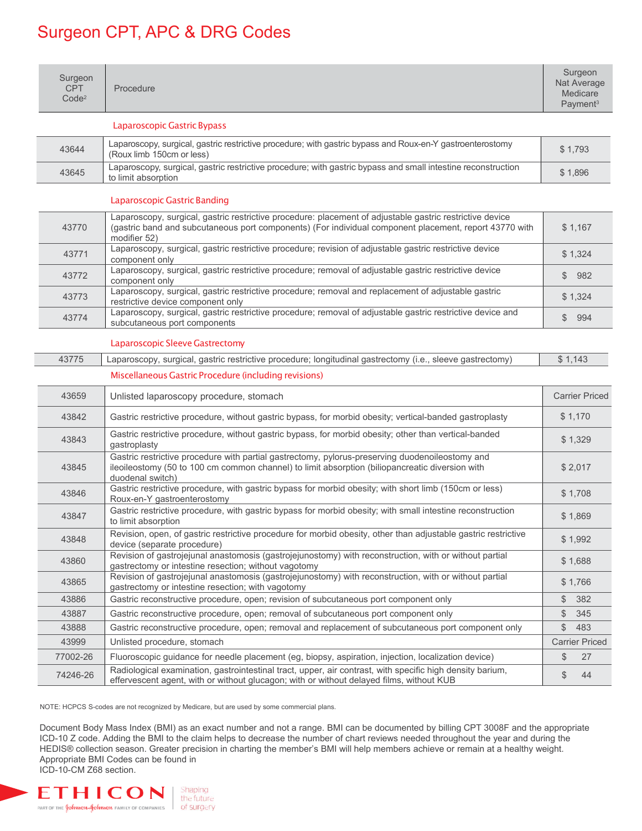## Surgeon CPT, APC & DRG Codes

| Surgeon<br><b>CPT</b><br>Code <sup>2</sup> | Procedure                                                                                                                                                                                                                          |         | Surgeon<br>Nat Average<br>Medicare<br>Payment <sup>3</sup> |
|--------------------------------------------|------------------------------------------------------------------------------------------------------------------------------------------------------------------------------------------------------------------------------------|---------|------------------------------------------------------------|
|                                            | Laparoscopic Gastric Bypass                                                                                                                                                                                                        |         |                                                            |
| 43644                                      | Laparoscopy, surgical, gastric restrictive procedure; with gastric bypass and Roux-en-Y gastroenterostomy<br>(Roux limb 150cm or less)                                                                                             |         | \$1,793                                                    |
| 43645                                      | Laparoscopy, surgical, gastric restrictive procedure; with gastric bypass and small intestine reconstruction<br>to limit absorption                                                                                                |         | \$1,896                                                    |
|                                            | <b>Laparoscopic Gastric Banding</b>                                                                                                                                                                                                |         |                                                            |
| 43770                                      | Laparoscopy, surgical, gastric restrictive procedure: placement of adjustable gastric restrictive device<br>(gastric band and subcutaneous port components) (For individual component placement, report 43770 with<br>modifier 52) |         | \$1,167                                                    |
| 43771                                      | Laparoscopy, surgical, gastric restrictive procedure; revision of adjustable gastric restrictive device<br>component only                                                                                                          |         | \$1,324                                                    |
| 43772                                      | Laparoscopy, surgical, gastric restrictive procedure; removal of adjustable gastric restrictive device<br>component only                                                                                                           | \$      | 982                                                        |
| 43773                                      | Laparoscopy, surgical, gastric restrictive procedure; removal and replacement of adjustable gastric<br>restrictive device component only                                                                                           |         | \$1,324                                                    |
| 43774                                      | Laparoscopy, surgical, gastric restrictive procedure; removal of adjustable gastric restrictive device and<br>subcutaneous port components                                                                                         | \$      | 994                                                        |
|                                            | Laparoscopic Sleeve Gastrectomy                                                                                                                                                                                                    |         |                                                            |
| 43775                                      | Laparoscopy, surgical, gastric restrictive procedure; longitudinal gastrectomy (i.e., sleeve gastrectomy)                                                                                                                          | \$1,143 |                                                            |
|                                            | Miscellaneous Gastric Procedure (including revisions)                                                                                                                                                                              |         |                                                            |
| 43659                                      | Unlisted laparoscopy procedure, stomach                                                                                                                                                                                            |         | <b>Carrier Priced</b>                                      |
| 43842                                      | Gastric restrictive procedure, without gastric bypass, for morbid obesity; vertical-banded gastroplasty                                                                                                                            |         | \$1,170                                                    |
| 43843                                      | Gastric restrictive procedure, without gastric bypass, for morbid obesity; other than vertical-banded<br>gastroplasty                                                                                                              |         | \$1,329                                                    |
| 43845                                      | Gastric restrictive procedure with partial gastrectomy, pylorus-preserving duodenoileostomy and<br>ileoileostomy (50 to 100 cm common channel) to limit absorption (biliopancreatic diversion with<br>duodenal switch)             |         | \$2,017                                                    |
| 43846                                      | Gastric restrictive procedure, with gastric bypass for morbid obesity; with short limb (150cm or less)<br>Roux-en-Y gastroenterostomy                                                                                              |         | \$1,708                                                    |
| 43847                                      | Gastric restrictive procedure, with gastric bypass for morbid obesity; with small intestine reconstruction<br>to limit absorption                                                                                                  |         | \$1,869                                                    |
| 43848                                      | Revision, open, of gastric restrictive procedure for morbid obesity, other than adjustable gastric restrictive<br>device (separate procedure)                                                                                      |         | \$1,992                                                    |
| 43860                                      | Revision of gastrojejunal anastomosis (gastrojejunostomy) with reconstruction, with or without partial<br>gastrectomy or intestine resection; without vagotomy                                                                     |         | \$1,688                                                    |
| 43865                                      | Revision of gastrojejunal anastomosis (gastrojejunostomy) with reconstruction, with or without partial<br>gastrectomy or intestine resection; with vagotomy                                                                        |         | \$1,766                                                    |
| 43886                                      | Gastric reconstructive procedure, open; revision of subcutaneous port component only                                                                                                                                               | \$      | 382                                                        |
| 43887                                      | Gastric reconstructive procedure, open; removal of subcutaneous port component only                                                                                                                                                | \$      | 345                                                        |
| 43888                                      | Gastric reconstructive procedure, open; removal and replacement of subcutaneous port component only                                                                                                                                | \$      | 483                                                        |
| 43999                                      | Unlisted procedure, stomach                                                                                                                                                                                                        |         | <b>Carrier Priced</b>                                      |
| 77002-26                                   | Fluoroscopic guidance for needle placement (eg, biopsy, aspiration, injection, localization device)                                                                                                                                | \$      | 27                                                         |
| 74246-26                                   | Radiological examination, gastrointestinal tract, upper, air contrast, with specific high density barium,<br>effervescent agent, with or without glucagon; with or without delayed films, without KUB                              | \$      | 44                                                         |

NOTE: HCPCS S-codes are not recognized by Medicare, but are used by some commercial plans.

Document Body Mass Index (BMI) as an exact number and not a range. BMI can be documented by billing CPT 3008F and the appropriate ICD-10 Z code. Adding the BMI to the claim helps to decrease the number of chart reviews needed throughout the year and during the HEDIS® collection season. Greater precision in charting the member's BMI will help members achieve or remain at a healthy weight. Appropriate BMI Codes can be found in ICD-10-CM Z68 section.